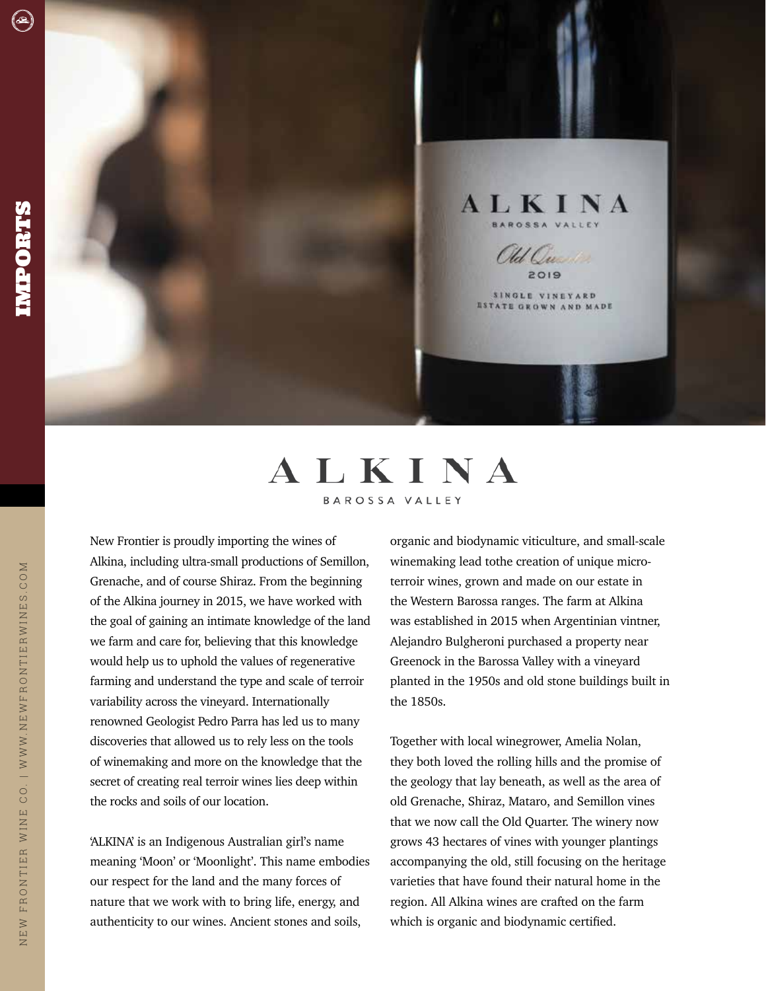(Q)

ALKINA BAROSSA VALLEY

New Frontier is proudly importing the wines of Alkina, including ultra-small productions of Semillon, Grenache, and of course Shiraz. From the beginning of the Alkina journey in 2015, we have worked with the goal of gaining an intimate knowledge of the land we farm and care for, believing that this knowledge would help us to uphold the values of regenerative farming and understand the type and scale of terroir variability across the vineyard. Internationally renowned Geologist Pedro Parra has led us to many discoveries that allowed us to rely less on the tools of winemaking and more on the knowledge that the secret of creating real terroir wines lies deep within the rocks and soils of our location.

'ALKINA' is an Indigenous Australian girl's name meaning 'Moon' or 'Moonlight'. This name embodies our respect for the land and the many forces of nature that we work with to bring life, energy, and authenticity to our wines. Ancient stones and soils,

organic and biodynamic viticulture, and small-scale winemaking lead tothe creation of unique microterroir wines, grown and made on our estate in the Western Barossa ranges. The farm at Alkina was established in 2015 when Argentinian vintner, Alejandro Bulgheroni purchased a property near Greenock in the Barossa Valley with a vineyard planted in the 1950s and old stone buildings built in the 1850s.

ALKINA

Old Our

SINGLE VINEYARD *ESTATE GROWN AND MADE* 

Together with local winegrower, Amelia Nolan, they both loved the rolling hills and the promise of the geology that lay beneath, as well as the area of old Grenache, Shiraz, Mataro, and Semillon vines that we now call the Old Quarter. The winery now grows 43 hectares of vines with younger plantings accompanying the old, still focusing on the heritage varieties that have found their natural home in the region. All Alkina wines are crafted on the farm which is organic and biodynamic certified.